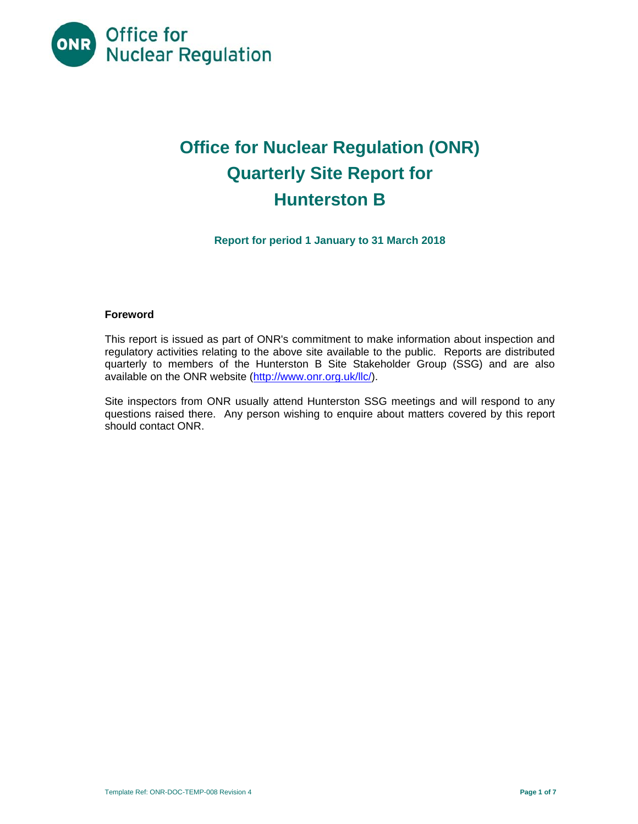

# **Office for Nuclear Regulation (ONR) Quarterly Site Report for Hunterston B**

**Report for period 1 January to 31 March 2018** 

#### **Foreword**

This report is issued as part of ONR's commitment to make information about inspection and regulatory activities relating to the above site available to the public. Reports are distributed quarterly to members of the Hunterston B Site Stakeholder Group (SSG) and are also available on the ONR website (http://www.onr.org.uk/llc/).

Site inspectors from ONR usually attend Hunterston SSG meetings and will respond to any questions raised there. Any person wishing to enquire about matters covered by this report should contact ONR.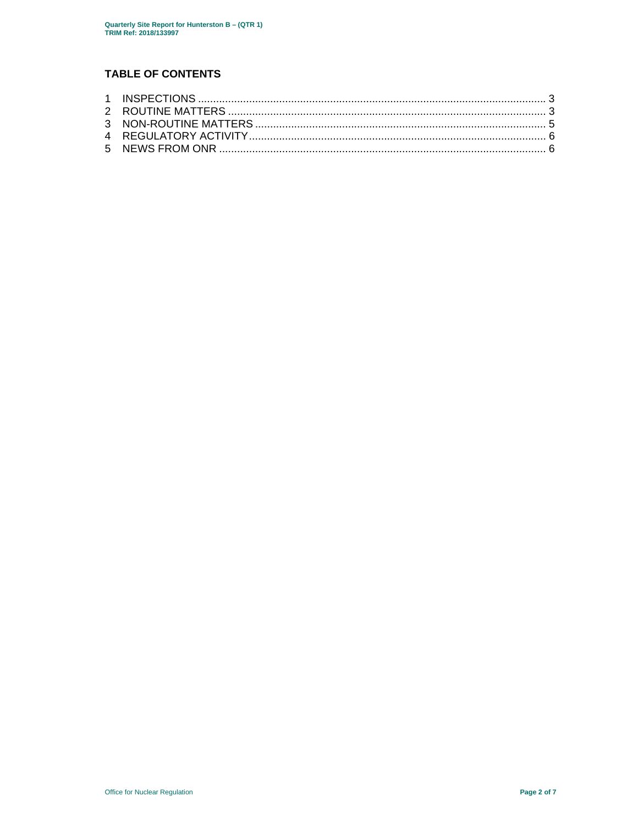## **TABLE OF CONTENTS**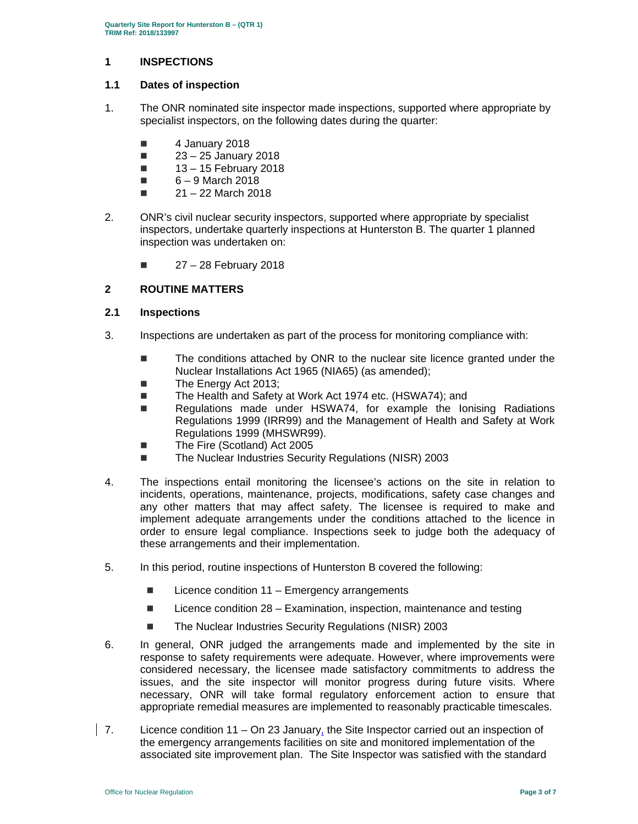#### **1 INSPECTIONS**

#### **1.1 Dates of inspection**

- 1. The ONR nominated site inspector made inspections, supported where appropriate by specialist inspectors, on the following dates during the quarter:
	- 4 January 2018
	- $23 25$  January 2018
	- $\blacksquare$  13 15 February 2018
	- $\Box$  6 9 March 2018
	- $\blacksquare$  21 22 March 2018
- 2. ONR's civil nuclear security inspectors, supported where appropriate by specialist inspectors, undertake quarterly inspections at Hunterston B. The quarter 1 planned inspection was undertaken on:
	- $\blacksquare$  27 28 February 2018

#### **2 ROUTINE MATTERS**

#### **2.1 Inspections**

- 3. Inspections are undertaken as part of the process for monitoring compliance with:
	- The conditions attached by ONR to the nuclear site licence granted under the Nuclear Installations Act 1965 (NIA65) (as amended);
	- The Energy Act 2013;
	- The Health and Safety at Work Act 1974 etc. (HSWA74); and
	- Regulations made under HSWA74, for example the lonising Radiations Regulations 1999 (IRR99) and the Management of Health and Safety at Work Regulations 1999 (MHSWR99).
	- The Fire (Scotland) Act 2005
	- The Nuclear Industries Security Regulations (NISR) 2003
- 4. The inspections entail monitoring the licensee's actions on the site in relation to incidents, operations, maintenance, projects, modifications, safety case changes and any other matters that may affect safety. The licensee is required to make and implement adequate arrangements under the conditions attached to the licence in order to ensure legal compliance. Inspections seek to judge both the adequacy of these arrangements and their implementation.
- 5. In this period, routine inspections of Hunterston B covered the following:
	- $\blacksquare$  Licence condition 11 Emergency arrangements
	- $\blacksquare$  Licence condition 28 Examination, inspection, maintenance and testing
	- The Nuclear Industries Security Regulations (NISR) 2003
- 6. In general, ONR judged the arrangements made and implemented by the site in response to safety requirements were adequate. However, where improvements were considered necessary, the licensee made satisfactory commitments to address the issues, and the site inspector will monitor progress during future visits. Where necessary, ONR will take formal regulatory enforcement action to ensure that appropriate remedial measures are implemented to reasonably practicable timescales.
- 7. Licence condition  $11 On 23$  January, the Site Inspector carried out an inspection of the emergency arrangements facilities on site and monitored implementation of the associated site improvement plan. The Site Inspector was satisfied with the standard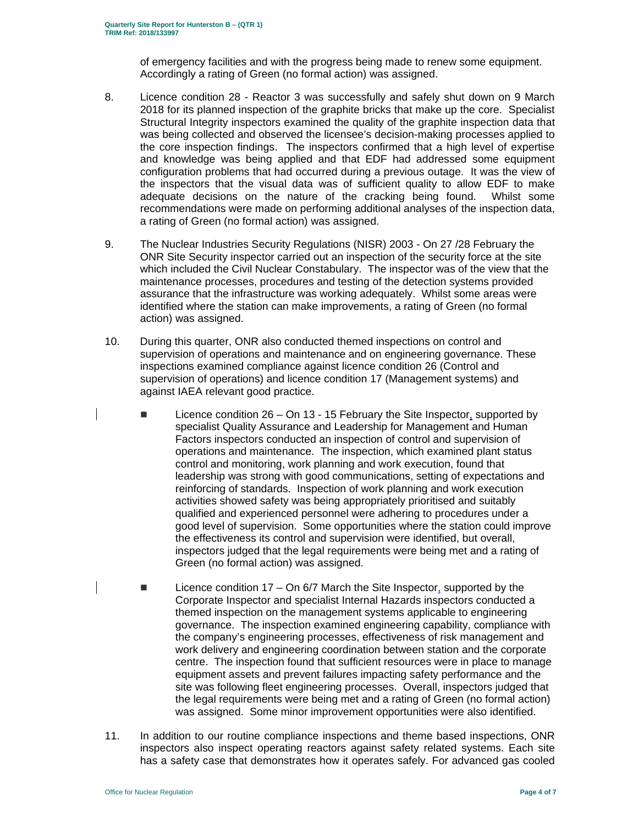of emergency facilities and with the progress being made to renew some equipment. Accordingly a rating of Green (no formal action) was assigned.

- 8. Licence condition 28 Reactor 3 was successfully and safely shut down on 9 March 2018 for its planned inspection of the graphite bricks that make up the core. Specialist Structural Integrity inspectors examined the quality of the graphite inspection data that was being collected and observed the licensee's decision-making processes applied to the core inspection findings. The inspectors confirmed that a high level of expertise and knowledge was being applied and that EDF had addressed some equipment configuration problems that had occurred during a previous outage. It was the view of the inspectors that the visual data was of sufficient quality to allow EDF to make adequate decisions on the nature of the cracking being found. Whilst some recommendations were made on performing additional analyses of the inspection data, a rating of Green (no formal action) was assigned.
- 9. The Nuclear Industries Security Regulations (NISR) 2003 On 27 /28 February the ONR Site Security inspector carried out an inspection of the security force at the site which included the Civil Nuclear Constabulary. The inspector was of the view that the maintenance processes, procedures and testing of the detection systems provided assurance that the infrastructure was working adequately. Whilst some areas were identified where the station can make improvements, a rating of Green (no formal action) was assigned.
- 10. During this quarter, ONR also conducted themed inspections on control and supervision of operations and maintenance and on engineering governance. These inspections examined compliance against licence condition 26 (Control and supervision of operations) and licence condition 17 (Management systems) and against IAEA relevant good practice.
	- $\blacksquare$  Licence condition 26 On 13 15 February the Site Inspector, supported by specialist Quality Assurance and Leadership for Management and Human Factors inspectors conducted an inspection of control and supervision of operations and maintenance. The inspection, which examined plant status control and monitoring, work planning and work execution, found that leadership was strong with good communications, setting of expectations and reinforcing of standards. Inspection of work planning and work execution activities showed safety was being appropriately prioritised and suitably qualified and experienced personnel were adhering to procedures under a good level of supervision. Some opportunities where the station could improve the effectiveness its control and supervision were identified, but overall, inspectors judged that the legal requirements were being met and a rating of Green (no formal action) was assigned.
- $\blacksquare$  Licence condition 17 On 6/7 March the Site Inspector, supported by the Corporate Inspector and specialist Internal Hazards inspectors conducted a themed inspection on the management systems applicable to engineering governance. The inspection examined engineering capability, compliance with the company's engineering processes, effectiveness of risk management and work delivery and engineering coordination between station and the corporate centre. The inspection found that sufficient resources were in place to manage equipment assets and prevent failures impacting safety performance and the site was following fleet engineering processes. Overall, inspectors judged that the legal requirements were being met and a rating of Green (no formal action) was assigned. Some minor improvement opportunities were also identified.
- 11. In addition to our routine compliance inspections and theme based inspections, ONR inspectors also inspect operating reactors against safety related systems. Each site has a safety case that demonstrates how it operates safely. For advanced gas cooled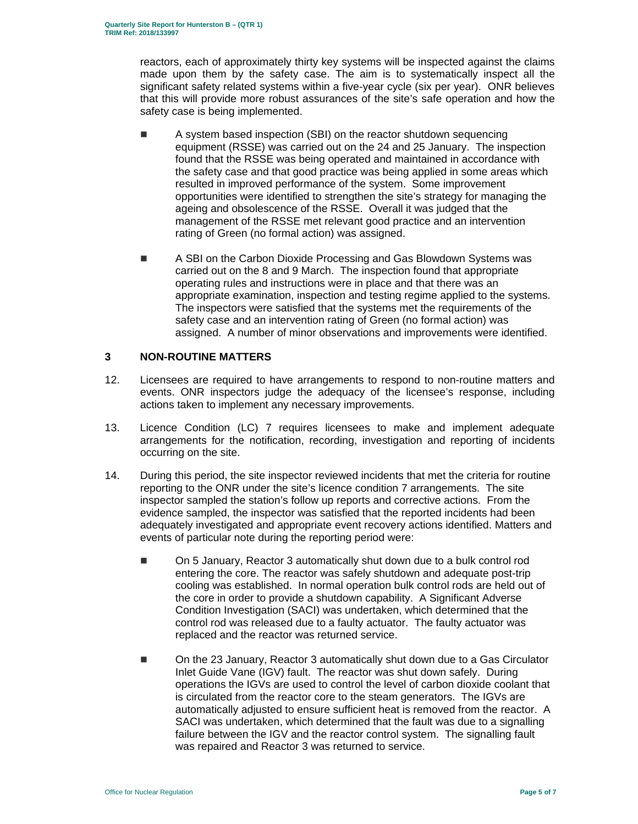reactors, each of approximately thirty key systems will be inspected against the claims made upon them by the safety case. The aim is to systematically inspect all the significant safety related systems within a five-year cycle (six per year). ONR believes that this will provide more robust assurances of the site's safe operation and how the safety case is being implemented.

- A system based inspection (SBI) on the reactor shutdown sequencing equipment (RSSE) was carried out on the 24 and 25 January. The inspection found that the RSSE was being operated and maintained in accordance with the safety case and that good practice was being applied in some areas which resulted in improved performance of the system. Some improvement opportunities were identified to strengthen the site's strategy for managing the ageing and obsolescence of the RSSE. Overall it was judged that the management of the RSSE met relevant good practice and an intervention rating of Green (no formal action) was assigned.
- **A SBI on the Carbon Dioxide Processing and Gas Blowdown Systems was** carried out on the 8 and 9 March. The inspection found that appropriate operating rules and instructions were in place and that there was an appropriate examination, inspection and testing regime applied to the systems. The inspectors were satisfied that the systems met the requirements of the safety case and an intervention rating of Green (no formal action) was assigned. A number of minor observations and improvements were identified.

#### **3 NON-ROUTINE MATTERS**

- 12. Licensees are required to have arrangements to respond to non-routine matters and events. ONR inspectors judge the adequacy of the licensee's response, including actions taken to implement any necessary improvements.
- 13. Licence Condition (LC) 7 requires licensees to make and implement adequate arrangements for the notification, recording, investigation and reporting of incidents occurring on the site.
- 14. During this period, the site inspector reviewed incidents that met the criteria for routine reporting to the ONR under the site's licence condition 7 arrangements. The site inspector sampled the station's follow up reports and corrective actions. From the evidence sampled, the inspector was satisfied that the reported incidents had been adequately investigated and appropriate event recovery actions identified. Matters and events of particular note during the reporting period were:
	- On 5 January, Reactor 3 automatically shut down due to a bulk control rod entering the core. The reactor was safely shutdown and adequate post-trip cooling was established. In normal operation bulk control rods are held out of the core in order to provide a shutdown capability. A Significant Adverse Condition Investigation (SACI) was undertaken, which determined that the control rod was released due to a faulty actuator. The faulty actuator was replaced and the reactor was returned service.
	- On the 23 January, Reactor 3 automatically shut down due to a Gas Circulator Inlet Guide Vane (IGV) fault. The reactor was shut down safely. During operations the IGVs are used to control the level of carbon dioxide coolant that is circulated from the reactor core to the steam generators. The IGVs are automatically adjusted to ensure sufficient heat is removed from the reactor. A SACI was undertaken, which determined that the fault was due to a signalling failure between the IGV and the reactor control system. The signalling fault was repaired and Reactor 3 was returned to service.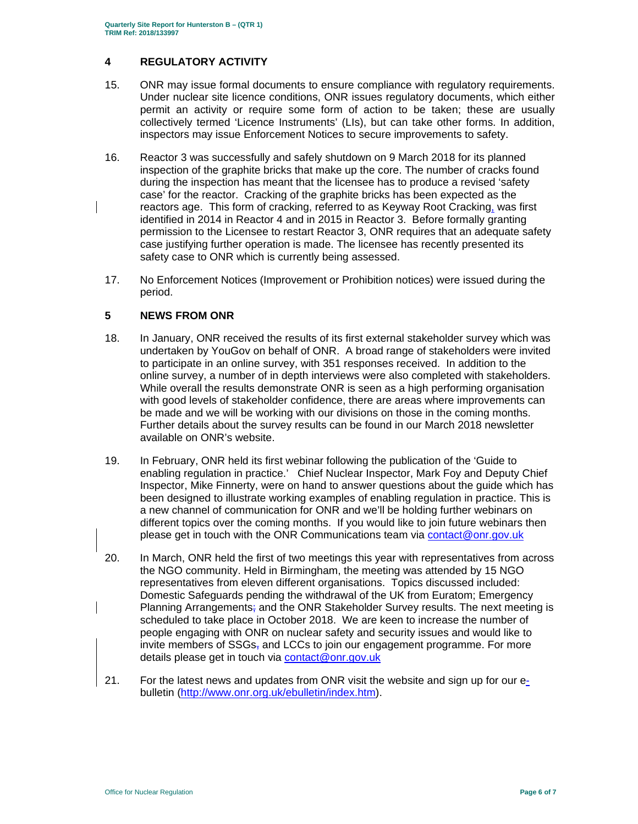#### **4 REGULATORY ACTIVITY**

- 15. ONR may issue formal documents to ensure compliance with regulatory requirements. Under nuclear site licence conditions, ONR issues regulatory documents, which either permit an activity or require some form of action to be taken; these are usually collectively termed 'Licence Instruments' (LIs), but can take other forms. In addition, inspectors may issue Enforcement Notices to secure improvements to safety.
- 16. Reactor 3 was successfully and safely shutdown on 9 March 2018 for its planned inspection of the graphite bricks that make up the core. The number of cracks found during the inspection has meant that the licensee has to produce a revised 'safety case' for the reactor. Cracking of the graphite bricks has been expected as the reactors age. This form of cracking, referred to as Keyway Root Cracking, was first identified in 2014 in Reactor 4 and in 2015 in Reactor 3. Before formally granting permission to the Licensee to restart Reactor 3, ONR requires that an adequate safety case justifying further operation is made. The licensee has recently presented its safety case to ONR which is currently being assessed.
- 17. No Enforcement Notices (Improvement or Prohibition notices) were issued during the period.

### **5 NEWS FROM ONR**

- 18. In January, ONR received the results of its first external stakeholder survey which was undertaken by YouGov on behalf of ONR. A broad range of stakeholders were invited to participate in an online survey, with 351 responses received. In addition to the online survey, a number of in depth interviews were also completed with stakeholders. While overall the results demonstrate ONR is seen as a high performing organisation with good levels of stakeholder confidence, there are areas where improvements can be made and we will be working with our divisions on those in the coming months. Further details about the survey results can be found in our March 2018 newsletter available on ONR's website.
- 19. In February, ONR held its first webinar following the publication of the 'Guide to enabling regulation in practice.' Chief Nuclear Inspector, Mark Foy and Deputy Chief Inspector, Mike Finnerty, were on hand to answer questions about the guide which has been designed to illustrate working examples of enabling regulation in practice. This is a new channel of communication for ONR and we'll be holding further webinars on different topics over the coming months. If you would like to join future webinars then please get in touch with the ONR Communications team via contact@onr.gov.uk
- 20. In March, ONR held the first of two meetings this year with representatives from across the NGO community. Held in Birmingham, the meeting was attended by 15 NGO representatives from eleven different organisations. Topics discussed included: Domestic Safeguards pending the withdrawal of the UK from Euratom; Emergency Planning Arrangements; and the ONR Stakeholder Survey results. The next meeting is scheduled to take place in October 2018. We are keen to increase the number of people engaging with ONR on nuclear safety and security issues and would like to invite members of  $SSGs<sub>z</sub>$  and LCCs to join our engagement programme. For more details please get in touch via contact@onr.gov.uk
- 21. For the latest news and updates from ONR visit the website and sign up for our ebulletin (http://www.onr.org.uk/ebulletin/index.htm).